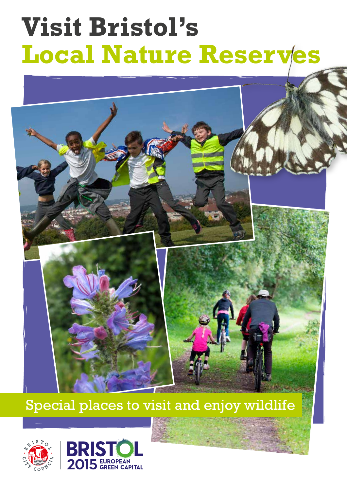# **Visit Bristol's Local Nature Reserves**

# Special places to visit and enjoy wildlife



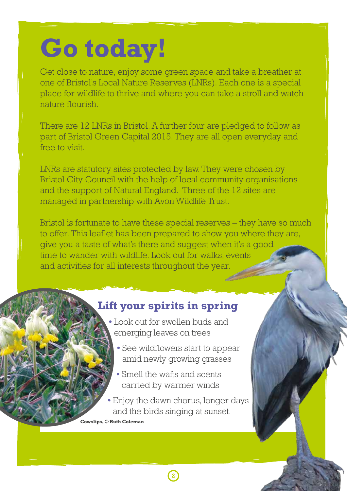# **Go today!**

Get close to nature, enjoy some green space and take a breather at one of Bristol's Local Nature Reserves (LNRs). Each one is a special place for wildlife to thrive and where you can take a stroll and watch nature flourish.

There are 12 LNRs in Bristol. A further four are pledged to follow as part of Bristol Green Capital 2015. They are all open everyday and free to visit.

LNRs are statutory sites protected by law. They were chosen by Bristol City Council with the help of local community organisations and the support of Natural England. Three of the 12 sites are managed in partnership with Avon Wildlife Trust.

Bristol is fortunate to have these special reserves – they have so much to offer. This leaflet has been prepared to show you where they are, give you a taste of what's there and suggest when it's a good time to wander with wildlife. Look out for walks, events and activities for all interests throughout the year.

# **Lift your spirits in spring**

- **•** Look out for swollen buds and emerging leaves on trees
	- **•** See wildflowers start to appear amid newly growing grasses
	- Smell the wafts and scents carried by warmer winds
- **•** Enjoy the dawn chorus, longer days and the birds singing at sunset.

**2**

**Cowslips, © Ruth Coleman**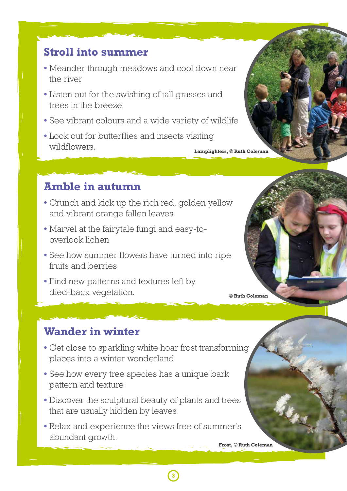# **Stroll into summer**

- Meander through meadows and cool down near the river
- Listen out for the swishing of tall grasses and trees in the breeze
- See vibrant colours and a wide variety of wildlife
- Look out for butterflies and insects visiting wildflowers. **Lamplighters, © Ruth Coleman**

# **Amble in autumn**

- Crunch and kick up the rich red, golden yellow and vibrant orange fallen leaves
- Marvel at the fairytale fungi and easy-tooverlook lichen
- See how summer flowers have turned into ripe fruits and berries
- Find new patterns and textures left by died-back vegetation.

# **Wander in winter**

- Get close to sparkling white hoar frost transforming places into a winter wonderland
- See how every tree species has a unique bark pattern and texture
- Discover the sculptural beauty of plants and trees that are usually hidden by leaves
- Relax and experience the views free of summer's abundant growth.

**3**

**Frost, © Ruth Coleman**

**© Ruth Coleman**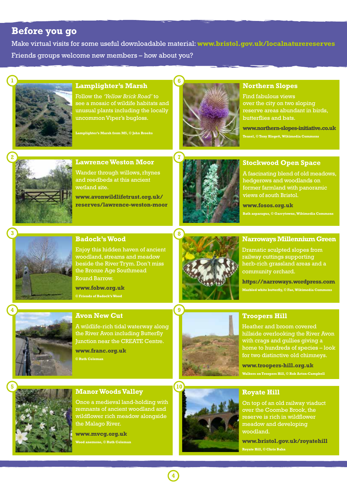### **Before you go**

Make virtual visits for some useful downloadable material: **www.bristol.gov.uk/localnaturereserves** Friends groups welcome new members – how about you?



#### **Lamplighter's Marsh**

Follow the *'Yellow Brick Road'* to see a mosaic of wildife habitats and unusual plants including the locally uncommon Viper's bugloss.

**Lamplighter's Marsh from M5, © John Brooks**



#### **Northern Slopes**

Find fabulous views over the city on two sloping reserve areas abundant in birds, butterflies and bats.

**www.northern-slopes-initiative.co.uk Teasel, © Tony Hisgett, Wikimedia Commons**



#### **Lawrence Weston Moor**

Wander through willows, rhynes and reedbeds at this ancient wetland site.

**www.avonwildlifetrust.org.uk/ reserves/lawrence-weston-moor**



#### **Stockwood Open Space**

A fascinating blend of old meadows, hedgerows and woodlands on former farmland with panoramic views of south Bristol.

**www.fosos.org.uk**

**Bath asparagus, © Garrytowns, Wikimedia Commons**



#### **Badock's Wood**

Enjoy this hidden haven of ancient woodland, streams and meadow beside the River Trym. Don't miss the Bronze Age Southmead Round Barrow.

**www.fobw.org.uk**



#### **Avon New Cut**

A wildlife-rich tidal waterway along the River Avon including Butterfly Junction near the CREATE Centre.

**www.franc.org.uk © Ruth Coleman**



#### **Narroways Millennium Green**

Dramatic sculpted slopes from railway cuttings supporting herb-rich grassland areas and a community orchard.

**https://narroways.wordpress.com Marbled white butterfly, © Fae, Wikimedia Commons**



# **5**

#### **Manor Woods Valley**

Once a medieval land-holding with remnants of ancient woodland and wildflower rich meadow alongside the Malago River.

**www.mvcg.org.uk Wood anemone, © Ruth Coleman**



#### **Troopers Hill**

Heather and broom covered hillside overlooking the River Avon with crags and gullies giving a home to hundreds of species – look for two distinctive old chimneys.

**www.troopers-hill.org.uk Walkers on Troopers Hill, © Rob Acton-Campbell** 

#### **Royate Hill**

On top of an old railway viaduct over the Coombe Brook, the reserve is rich in wildflower meadow and developing woodland.

**www.bristol.gov.uk/royatehill Royate Hill, © Chris Bahn**

**4**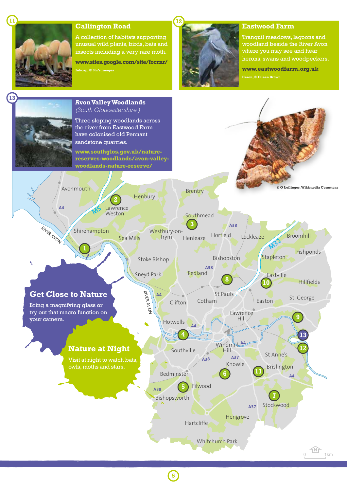

#### **Callington Road**

A collection of habitats supporting unusual wild plants, birds, bats and insects including a very rare moth.

**www.sites.google.com/site/focrnr/ Inkcap, © Stu's images**



#### **Eastwood Farm**

Tranquil meadows, lagoons and woodland beside the River Avon where you may see and hear herons, swans and woodpeckers.

**www.eastwoodfarm.org.uk Heron, © Eileen Brown**



**5**